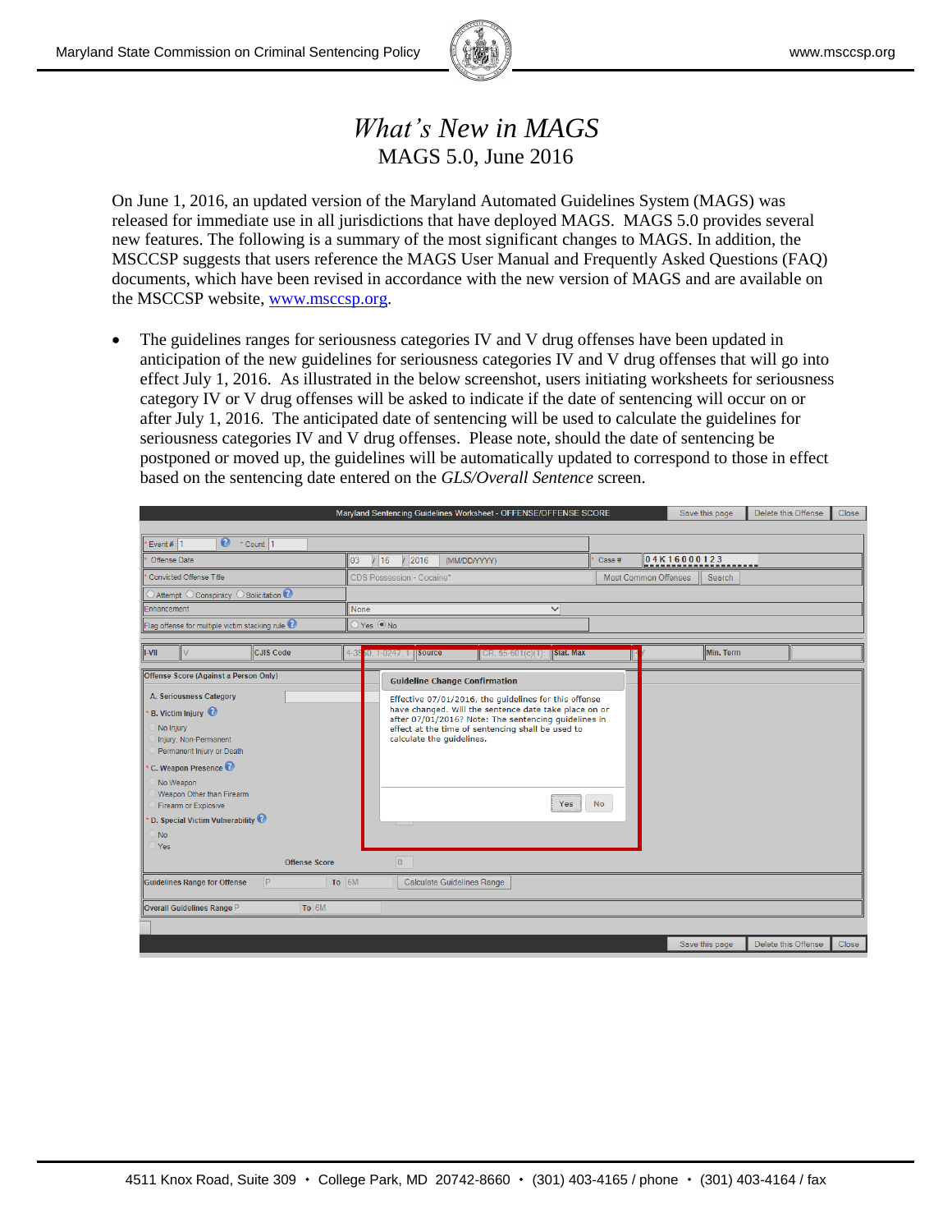

## *What's New in MAGS* MAGS 5.0, June 2016

On June 1, 2016, an updated version of the Maryland Automated Guidelines System (MAGS) was released for immediate use in all jurisdictions that have deployed MAGS. MAGS 5.0 provides several new features. The following is a summary of the most significant changes to MAGS. In addition, the MSCCSP suggests that users reference the MAGS User Manual and Frequently Asked Questions (FAQ) documents, which have been revised in accordance with the new version of MAGS and are available on the MSCCSP website, [www.msccsp.org.](http://www.msccsp.org/)

 The guidelines ranges for seriousness categories IV and V drug offenses have been updated in anticipation of the new guidelines for seriousness categories IV and V drug offenses that will go into effect July 1, 2016. As illustrated in the below screenshot, users initiating worksheets for seriousness category IV or V drug offenses will be asked to indicate if the date of sentencing will occur on or after July 1, 2016. The anticipated date of sentencing will be used to calculate the guidelines for seriousness categories IV and V drug offenses. Please note, should the date of sentencing be postponed or moved up, the guidelines will be automatically updated to correspond to those in effect based on the sentencing date entered on the *GLS/Overall Sentence* screen.

|                                                                                                                                                                                                                                                                         | Maryland Sentencing Guidelines Worksheet - OFFENSE/OFFENSE SCORE                                                                                                                                                                                                       |                       | Save this page       |           | Delete this Offense | Close |  |  |  |  |
|-------------------------------------------------------------------------------------------------------------------------------------------------------------------------------------------------------------------------------------------------------------------------|------------------------------------------------------------------------------------------------------------------------------------------------------------------------------------------------------------------------------------------------------------------------|-----------------------|----------------------|-----------|---------------------|-------|--|--|--|--|
|                                                                                                                                                                                                                                                                         |                                                                                                                                                                                                                                                                        |                       |                      |           |                     |       |  |  |  |  |
| $\boldsymbol{\Omega}$<br>$\cdot$ Count 1<br>Event # $ 1$                                                                                                                                                                                                                |                                                                                                                                                                                                                                                                        |                       |                      |           |                     |       |  |  |  |  |
| Offense Date                                                                                                                                                                                                                                                            | 2016<br>16<br>03<br>(MM/DD/YYYY)                                                                                                                                                                                                                                       | 04K16000123<br>Case # |                      |           |                     |       |  |  |  |  |
| <b>Convicted Offense Title</b>                                                                                                                                                                                                                                          | CDS Possession - Cocaine*                                                                                                                                                                                                                                              |                       | Most Common Offenses | Search    |                     |       |  |  |  |  |
| $\overline{\text{O}}$ Attempt $\overline{\text{O}}$ Conspiracy $\overline{\text{O}}$ Solicitation $\overline{\text{O}}$                                                                                                                                                 |                                                                                                                                                                                                                                                                        |                       |                      |           |                     |       |  |  |  |  |
| Enhancement                                                                                                                                                                                                                                                             | None                                                                                                                                                                                                                                                                   | $\checkmark$          |                      |           |                     |       |  |  |  |  |
| Flag offense for multiple victim stacking rule                                                                                                                                                                                                                          | $OYes$ $\odot$ No                                                                                                                                                                                                                                                      |                       |                      |           |                     |       |  |  |  |  |
| <b>CJIS Code</b><br><b>I-VII</b><br>lv                                                                                                                                                                                                                                  | $14 - 35$<br>60. 1-0247. 1- <b>Source</b><br>$  CR.$ \$5-601(c)(1): $  $ Stat. Max                                                                                                                                                                                     |                       |                      | Min. Term |                     |       |  |  |  |  |
| Offense Score (Against a Person Only)                                                                                                                                                                                                                                   | <b>Guideline Change Confirmation</b>                                                                                                                                                                                                                                   |                       |                      |           |                     |       |  |  |  |  |
| A. Seriousness Category<br>B. Victim Injury<br>No Injury<br>Injury, Non-Permanent<br>Permanent Injury or Death<br>C. Weapon Presence $\bullet$<br>No Weapon<br>Weapon Other than Firearm<br>Firearm or Explosive<br>D. Special Victim Vulnerability<br><b>No</b><br>Yes | Effective 07/01/2016, the quidelines for this offense<br>have changed. Will the sentence date take place on or<br>after 07/01/2016? Note: The sentencing quidelines in<br>effect at the time of sentencing shall be used to<br>calculate the quidelines.<br><b>Yes</b> | <b>No</b>             |                      |           |                     |       |  |  |  |  |
| <b>Offense Score</b>                                                                                                                                                                                                                                                    | $\overline{0}$                                                                                                                                                                                                                                                         |                       |                      |           |                     |       |  |  |  |  |
| <b>Guidelines Range for Offense</b><br>P.<br>To 6M                                                                                                                                                                                                                      | Calculate Guidelines Range                                                                                                                                                                                                                                             |                       |                      |           |                     |       |  |  |  |  |
| To 6M<br>Overall Guidelines Range P                                                                                                                                                                                                                                     |                                                                                                                                                                                                                                                                        |                       |                      |           |                     |       |  |  |  |  |
|                                                                                                                                                                                                                                                                         |                                                                                                                                                                                                                                                                        |                       |                      |           |                     |       |  |  |  |  |
|                                                                                                                                                                                                                                                                         |                                                                                                                                                                                                                                                                        |                       | Save this page       |           | Delete this Offense | Close |  |  |  |  |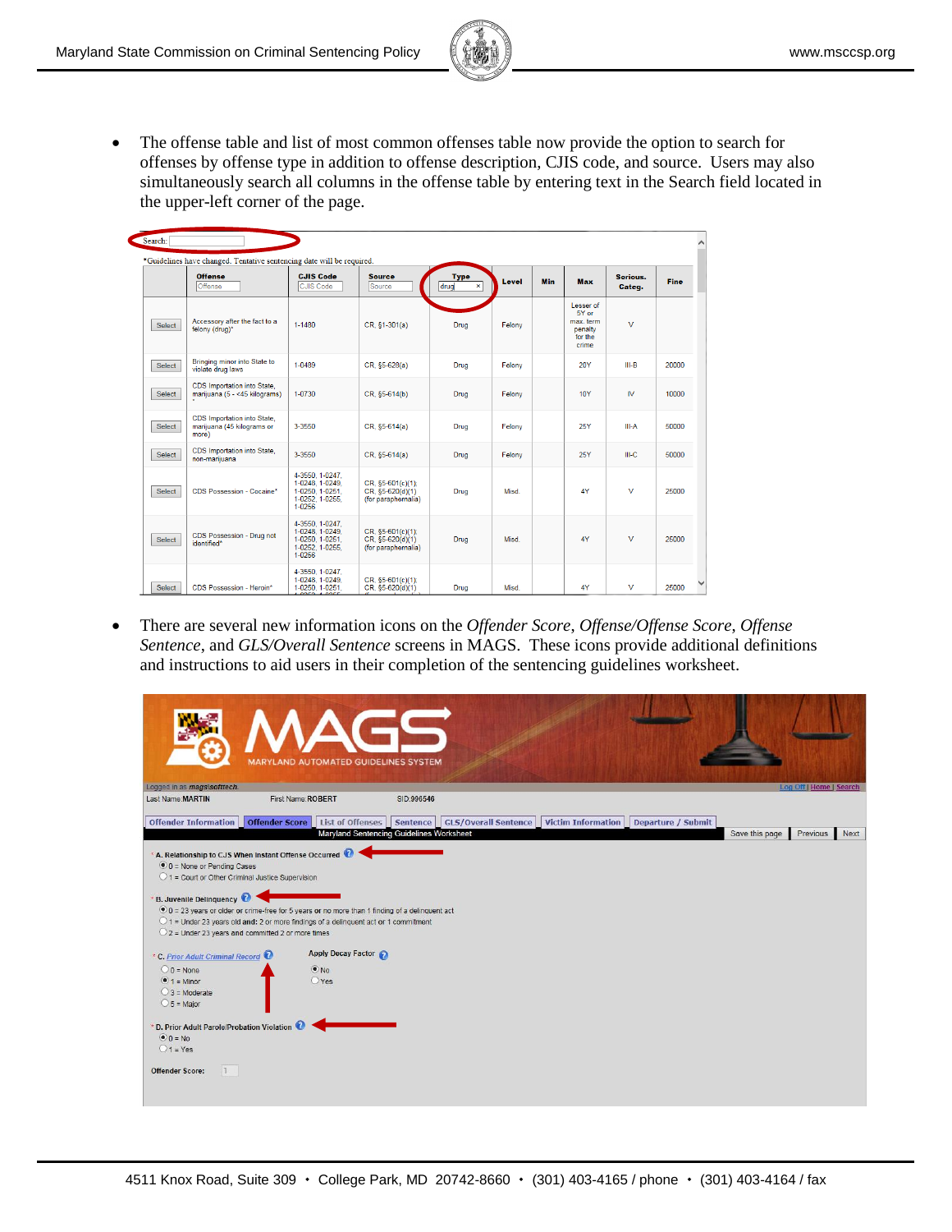

 The offense table and list of most common offenses table now provide the option to search for offenses by offense type in addition to offense description, CJIS code, and source. Users may also simultaneously search all columns in the offense table by entering text in the Search field located in the upper-left corner of the page.

|               | <b>Offense</b><br>Offense                                          | <b>CJIS Code</b><br>CJIS Code                                                      | <b>Source</b><br>Source                                       | <b>Type</b><br>drug<br>× | Level  | <b>Min</b> | Max                                                            | Serious.<br>Categ. | <b>Fine</b> |
|---------------|--------------------------------------------------------------------|------------------------------------------------------------------------------------|---------------------------------------------------------------|--------------------------|--------|------------|----------------------------------------------------------------|--------------------|-------------|
| <b>Select</b> | Accessory after the fact to a<br>felony (drug)*                    | 1-1480                                                                             | CR, §1-301(a)                                                 | Drug                     | Felony |            | Lesser of<br>5Y or<br>max. term<br>penalty<br>for the<br>crime | v                  |             |
| <b>Select</b> | Bringing minor into State to<br>violate drug laws                  | 1-0489                                                                             | CR. §5-628(a)                                                 | Drug                     | Felony |            | <b>20Y</b>                                                     | $III-B$            | 20000       |
| <b>Select</b> | CDS Importation into State,<br>marijuana (5 - <45 kilograms)       | 1-0730                                                                             | CR, §5-614(b)                                                 | Drug                     | Felony |            | <b>10Y</b>                                                     | <b>IV</b>          | 10000       |
| <b>Select</b> | CDS Importation into State.<br>marijuana (45 kilograms or<br>more) | 3-3550                                                                             | CR. §5-614(a)                                                 | Drug                     | Felony |            | <b>25Y</b>                                                     | III-A              | 50000       |
| <b>Select</b> | CDS Importation into State,<br>non-marijuana                       | 3-3550                                                                             | CR, §5-614(a)                                                 | Drug                     | Felony |            | 25Y                                                            | III-C              | 50000       |
| <b>Select</b> | CDS Possession - Cocaine*                                          | 4-3550. 1-0247.<br>1-0248, 1-0249,<br>1-0250, 1-0251.<br>1-0252, 1-0255,<br>1-0256 | CR. \$5-601(c)(1):<br>CR, §5-620(d)(1)<br>(for paraphernalia) | Drug                     | Misd.  |            | 4Y                                                             | v                  | 25000       |
| Select        | CDS Possession - Drug not<br>identified*                           | 4-3550. 1-0247.<br>1-0248. 1-0249.<br>1-0250, 1-0251.<br>1-0252, 1-0255,<br>1-0256 | CR. \$5-601(c)(1):<br>CR. §5-620(d)(1)<br>(for paraphernalia) | <b>Drug</b>              | Misd.  |            | 4Y                                                             | $\vee$             | 25000       |
| Select        | <b>CDS Possession - Heroin*</b>                                    | 4-3550. 1-0247.<br>1-0248. 1-0249.<br>1-0250, 1-0251,                              | CR, §5-601(c)(1):<br>CR. \$5-620(d)(1)                        | Drug                     | Misd.  |            | 4Y                                                             | v                  | 25000       |

 There are several new information icons on the *Offender Score*, *Offense/Offense Score*, *Offense Sentence*, and *GLS/Overall Sentence* screens in MAGS. These icons provide additional definitions and instructions to aid users in their completion of the sentencing guidelines worksheet.

|                                                                                                                                                                                                                                                                                                                                                                                                      |                    | <b>MARYLAND AUTOMATED GUIDELINES SYSTEM</b> |            |                                 |                           |                    |                |                         |      |
|------------------------------------------------------------------------------------------------------------------------------------------------------------------------------------------------------------------------------------------------------------------------------------------------------------------------------------------------------------------------------------------------------|--------------------|---------------------------------------------|------------|---------------------------------|---------------------------|--------------------|----------------|-------------------------|------|
| Logged in as <i>mags</i> isofttech.                                                                                                                                                                                                                                                                                                                                                                  |                    |                                             |            |                                 |                           |                    |                | Log Off   Home   Search |      |
| Last Name: MARTIN                                                                                                                                                                                                                                                                                                                                                                                    | First Name: ROBERT |                                             | SID:996546 |                                 |                           |                    |                |                         |      |
| <b>Offender Information</b>                                                                                                                                                                                                                                                                                                                                                                          |                    | Offender Score   List of Offenses           |            | Sentence   GLS/Overall Sentence | <b>Victim Information</b> | Departure / Submit |                |                         |      |
|                                                                                                                                                                                                                                                                                                                                                                                                      |                    | Maryland Sentencing Guidelines Worksheet    |            |                                 |                           |                    | Save this page | Previous                | Next |
| $\bullet$ 0 = None or Pending Cases<br>01 = Court or Other Criminal Justice Supervision<br><b>B. Juvenile Delinquency</b><br>$\bullet$ 0 = 23 years or older or crime-free for 5 years or no more than 1 finding of a delinquent act<br>$\bigcirc$ 1 = Under 23 years old and: 2 or more findings of a delinquent act or 1 commitment<br>$\bigcirc$ 2 = Under 23 years and committed 2 or more times |                    | Apply Decay Factor                          |            |                                 |                           |                    |                |                         |      |
| * C. Prior Adult Criminal Record<br>$0 = None$<br>$\odot$ 1 = Minor<br>$\bigcirc$ 3 = Moderate<br>$\circ$ 5 = Major                                                                                                                                                                                                                                                                                  |                    | $\odot$ No<br>$O$ Yes                       |            |                                 |                           |                    |                |                         |      |
| * D. Prior Adult Parole/Probation Violation<br>$\odot$ 0 = No<br>$\bigcirc$ 1 = Yes<br><b>Offender Score:</b>                                                                                                                                                                                                                                                                                        |                    |                                             |            |                                 |                           |                    |                |                         |      |